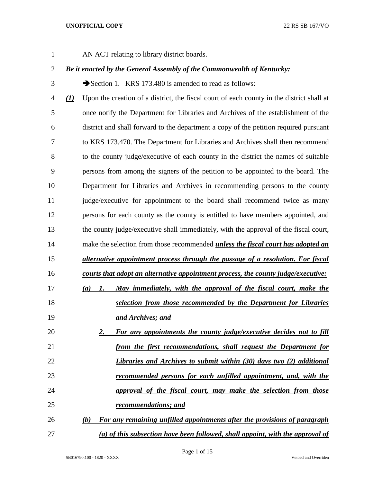AN ACT relating to library district boards.

# *Be it enacted by the General Assembly of the Commonwealth of Kentucky:*

3 Section 1. KRS 173.480 is amended to read as follows:

 *(1)* Upon the creation of a district, the fiscal court of each county in the district shall at once notify the Department for Libraries and Archives of the establishment of the district and shall forward to the department a copy of the petition required pursuant to KRS 173.470. The Department for Libraries and Archives shall then recommend to the county judge/executive of each county in the district the names of suitable persons from among the signers of the petition to be appointed to the board. The Department for Libraries and Archives in recommending persons to the county 11 judge/executive for appointment to the board shall recommend twice as many persons for each county as the county is entitled to have members appointed, and the county judge/executive shall immediately, with the approval of the fiscal court, make the selection from those recommended *unless the fiscal court has adopted an alternative appointment process through the passage of a resolution. For fiscal courts that adopt an alternative appointment process, the county judge/executive: (a) 1. May immediately, with the approval of the fiscal court, make the selection from those recommended by the Department for Libraries and Archives; and 2. For any appointments the county judge/executive decides not to fill from the first recommendations, shall request the Department for Libraries and Archives to submit within (30) days two (2) additional recommended persons for each unfilled appointment, and, with the approval of the fiscal court, may make the selection from those recommendations; and (b) For any remaining unfilled appointments after the provisions of paragraph (a) of this subsection have been followed, shall appoint, with the approval of*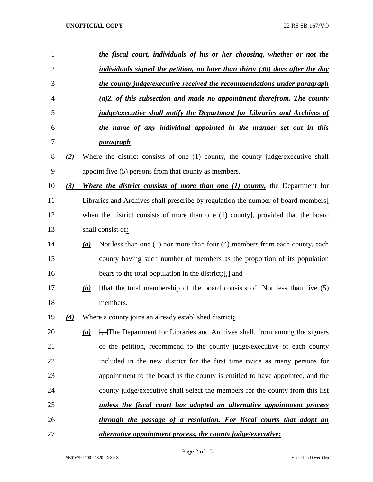| 1              |                   |     | the fiscal court, individuals of his or her choosing, whether or not the                   |
|----------------|-------------------|-----|--------------------------------------------------------------------------------------------|
| $\overline{2}$ |                   |     | individuals signed the petition, no later than thirty (30) days after the day              |
| 3              |                   |     | <u>the county judge/executive received the recommendations under paragraph</u>             |
| 4              |                   |     | $(a)$ 2. of this subsection and made no appointment therefrom. The county                  |
| 5              |                   |     | <i>judge/executive shall notify the Department for Libraries and Archives of</i>           |
| 6              |                   |     | the name of any individual appointed in the manner set out in this                         |
| 7              |                   |     | <u>paragraph</u> .                                                                         |
| 8              | (2)               |     | Where the district consists of one (1) county, the county judge/executive shall            |
| 9              |                   |     | appoint five (5) persons from that county as members.                                      |
| 10             | (3)               |     | Where the district consists of more than one $(1)$ county, the Department for              |
| 11             |                   |     | Libraries and Archives shall prescribe by regulation the number of board members           |
| 12             |                   |     | when the district consists of more than one $(1)$ county], provided that the board         |
| 13             |                   |     | shall consist of:                                                                          |
| 14             |                   | (a) | Not less than one $(1)$ nor more than four $(4)$ members from each county, each            |
| 15             |                   |     | county having such number of members as the proportion of its population                   |
| 16             |                   |     | bears to the total population in the district: $\left[\frac{1}{2}, \frac{1}{2}\right]$ and |
| 17             |                   | (b) | [that the total membership of the board consists of $\cdot$ ]Not less than five (5)        |
| 18             |                   |     | members.                                                                                   |
| 19             | $\left( 4\right)$ |     | Where a county joins an already established district:                                      |
| 20             |                   | (a) | [ <del>, ]</del> The Department for Libraries and Archives shall, from among the signers   |
| 21             |                   |     | of the petition, recommend to the county judge/executive of each county                    |
| 22             |                   |     | included in the new district for the first time twice as many persons for                  |
| 23             |                   |     | appointment to the board as the county is entitled to have appointed, and the              |
| 24             |                   |     | county judge/executive shall select the members for the county from this list              |
| 25             |                   |     | unless the fiscal court has adopted an alternative appointment process                     |
| 26             |                   |     | through the passage of a resolution. For fiscal courts that adopt an                       |
| 27             |                   |     | <i>alternative appointment process, the county judge/executive:</i>                        |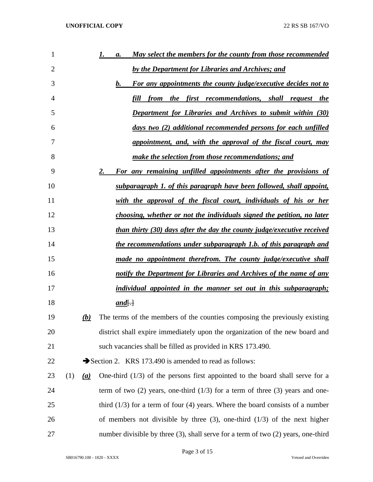| 1      |     |     | May select the members for the county from those recommended<br>а.                     |
|--------|-----|-----|----------------------------------------------------------------------------------------|
| 2      |     |     | by the Department for Libraries and Archives; and                                      |
| 3      |     |     | For any appointments the county judge/executive decides not to<br><b>b.</b>            |
| 4      |     |     | fill<br><i>the first recommendations, shall request the</i><br>from                    |
| 5      |     |     | <b>Department for Libraries and Archives to submit within (30)</b>                     |
| 6      |     |     | days two (2) additional recommended persons for each unfilled                          |
| 7      |     |     | appointment, and, with the approval of the fiscal court, may                           |
| 8      |     |     | make the selection from those recommendations; and                                     |
| 9      |     |     | For any remaining unfilled appointments after the provisions of<br>2.                  |
| 10     |     |     | subparagraph 1. of this paragraph have been followed, shall appoint,                   |
| 11     |     |     | with the approval of the fiscal court, individuals of his or her                       |
| 12     |     |     | choosing, whether or not the individuals signed the petition, no later                 |
| 13     |     |     | than thirty (30) days after the day the county judge/executive received                |
| 14     |     |     | the recommendations under subparagraph 1.b. of this paragraph and                      |
| 15     |     |     | made no appointment therefrom. The county judge/executive shall                        |
| 16     |     |     | notify the Department for Libraries and Archives of the name of any                    |
| 17     |     |     | <i>individual appointed in the manner set out in this subparagraph</i> ;               |
| 18     |     |     | $and[\cdot]$                                                                           |
| 19     |     | (b) | The terms of the members of the counties composing the previously existing             |
| 20     |     |     | district shall expire immediately upon the organization of the new board and           |
| 21     |     |     | such vacancies shall be filled as provided in KRS 173.490.                             |
| 22     |     |     | Section 2. KRS 173.490 is amended to read as follows:                                  |
| 23     | (1) | (a) | One-third $(1/3)$ of the persons first appointed to the board shall serve for a        |
| 24     |     |     | term of two $(2)$ years, one-third $(1/3)$ for a term of three $(3)$ years and one-    |
| 25     |     |     | third $(1/3)$ for a term of four (4) years. Where the board consists of a number       |
| 26     |     |     | of members not divisible by three $(3)$ , one-third $(1/3)$ of the next higher         |
| $27\,$ |     |     | number divisible by three $(3)$ , shall serve for a term of two $(2)$ years, one-third |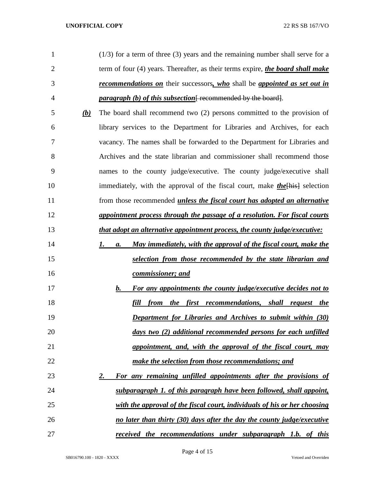| $\mathbf{1}$   |            | $(1/3)$ for a term of three (3) years and the remaining number shall serve for a       |
|----------------|------------|----------------------------------------------------------------------------------------|
| $\overline{2}$ |            | term of four (4) years. Thereafter, as their terms expire, the board shall make        |
| 3              |            | <b>recommendations on</b> their successors, who shall be appointed as set out in       |
| 4              |            | <i>paragraph (b) of this subsection</i> [recommended by the board].                    |
| 5              | <u>(b)</u> | The board shall recommend two (2) persons committed to the provision of                |
| 6              |            | library services to the Department for Libraries and Archives, for each                |
| 7              |            | vacancy. The names shall be forwarded to the Department for Libraries and              |
| 8              |            | Archives and the state librarian and commissioner shall recommend those                |
| 9              |            | names to the county judge/executive. The county judge/executive shall                  |
| 10             |            | immediately, with the approval of the fiscal court, make <i>the</i> $\{he\}$ selection |
| 11             |            | from those recommended <i>unless the fiscal court has adopted an alternative</i>       |
| 12             |            | appointment process through the passage of a resolution. For fiscal courts             |
| 13             |            | that adopt an alternative appointment process, the county judge/executive:             |
| 14             |            | May immediately, with the approval of the fiscal court, make the<br>I.<br>a.           |
| 15             |            | selection from those recommended by the state librarian and                            |
| 16             |            | commissioner; and                                                                      |
| 17             |            | <b>For any appointments the county judge/executive decides not to</b><br>b.            |
| 18             |            | fill<br><i>the first recommendations, shall request</i><br>from<br><u>the</u>          |
| 19             |            | <b>Department for Libraries and Archives to submit within (30)</b>                     |
| 20             |            | days two (2) additional recommended persons for each unfilled                          |
| 21             |            | appointment, and, with the approval of the fiscal court, may                           |
| 22             |            | make the selection from those recommendations; and                                     |
| 23             |            | For any remaining unfilled appointments after the provisions of<br><u>2.</u>           |
| 24             |            | subparagraph 1. of this paragraph have been followed, shall appoint,                   |
| 25             |            | with the approval of the fiscal court, individuals of his or her choosing              |
| 26             |            | no later than thirty (30) days after the day the county judge/executive                |
| 27             |            | <u>received the recommendations under subparagraph 1.b. of this</u>                    |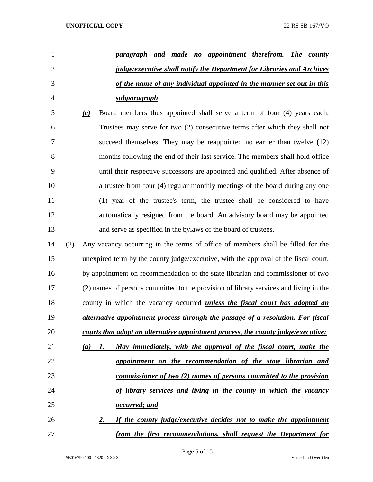| 1              |     | paragraph and made no appointment therefrom. The county                               |
|----------------|-----|---------------------------------------------------------------------------------------|
| $\overline{2}$ |     | <i>judge/executive shall notify the Department for Libraries and Archives</i>         |
| 3              |     | of the name of any individual appointed in the manner set out in this                 |
| $\overline{4}$ |     | <u>subparagraph</u> .                                                                 |
| 5              |     | Board members thus appointed shall serve a term of four (4) years each.<br>(c)        |
| 6              |     | Trustees may serve for two (2) consecutive terms after which they shall not           |
| 7              |     | succeed themselves. They may be reappointed no earlier than twelve (12)               |
| 8              |     | months following the end of their last service. The members shall hold office         |
| 9              |     | until their respective successors are appointed and qualified. After absence of       |
| 10             |     | a trustee from four (4) regular monthly meetings of the board during any one          |
| 11             |     | (1) year of the trustee's term, the trustee shall be considered to have               |
| 12             |     | automatically resigned from the board. An advisory board may be appointed             |
| 13             |     | and serve as specified in the bylaws of the board of trustees.                        |
| 14             | (2) | Any vacancy occurring in the terms of office of members shall be filled for the       |
| 15             |     | unexpired term by the county judge/executive, with the approval of the fiscal court,  |
| 16             |     | by appointment on recommendation of the state librarian and commissioner of two       |
| 17             |     | (2) names of persons committed to the provision of library services and living in the |
| 18             |     | county in which the vacancy occurred <i>unless the fiscal court has adopted an</i>    |
| 19             |     | alternative appointment process through the passage of a resolution. For fiscal       |
| 20             |     | courts that adopt an alternative appointment process, the county judge/executive:     |
| 21             |     | May immediately, with the approval of the fiscal court, make the<br>(a)<br>1.         |
| 22             |     | appointment on the recommendation of the state librarian and                          |
| 23             |     | commissioner of two (2) names of persons committed to the provision                   |
| 24             |     | of library services and living in the county in which the vacancy                     |
| 25             |     | occurred; and                                                                         |
| 26             |     | If the county judge/executive decides not to make the appointment<br>2.               |
| 27             |     | from the first recommendations, shall request the Department for                      |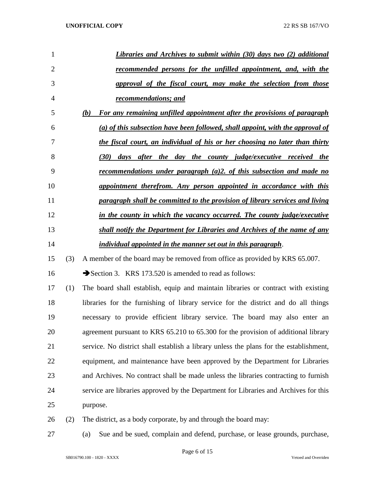| 1              |     | <b>Libraries and Archives to submit within (30) days two (2) additional</b>              |
|----------------|-----|------------------------------------------------------------------------------------------|
| $\overline{2}$ |     | recommended persons for the unfilled appointment, and, with the                          |
| 3              |     | approval of the fiscal court, may make the selection from those                          |
| 4              |     | recommendations; and                                                                     |
| 5              |     | For any remaining unfilled appointment after the provisions of paragraph<br>(b)          |
| 6              |     | (a) of this subsection have been followed, shall appoint, with the approval of           |
| 7              |     | the fiscal court, an individual of his or her choosing no later than thirty              |
| 8              |     | (30) days after the day the county judge/executive received the                          |
| 9              |     | <u>recommendations under paragraph <math>(a)</math>2. of this subsection and made no</u> |
| 10             |     | appointment therefrom. Any person appointed in accordance with this                      |
| 11             |     | paragraph shall be committed to the provision of library services and living             |
| 12             |     | in the county in which the vacancy occurred. The county judge/executive                  |
| 13             |     | shall notify the Department for Libraries and Archives of the name of any                |
| 14             |     | individual appointed in the manner set out in this paragraph.                            |
| 15             | (3) | A member of the board may be removed from office as provided by KRS 65.007.              |
| 16             |     | Section 3. KRS 173.520 is amended to read as follows:                                    |
| 17             | (1) | The board shall establish, equip and maintain libraries or contract with existing        |
| 18             |     | libraries for the furnishing of library service for the district and do all things       |
| 19             |     | necessary to provide efficient library service. The board may also enter an              |
| 20             |     | agreement pursuant to KRS 65.210 to 65.300 for the provision of additional library       |
| 21             |     | service. No district shall establish a library unless the plans for the establishment,   |
| 22             |     | equipment, and maintenance have been approved by the Department for Libraries            |
| 23             |     | and Archives. No contract shall be made unless the libraries contracting to furnish      |
| 24             |     | service are libraries approved by the Department for Libraries and Archives for this     |
| 25             |     | purpose.                                                                                 |
| 26             | (2) | The district, as a body corporate, by and through the board may:                         |
| 27             |     | Sue and be sued, complain and defend, purchase, or lease grounds, purchase,<br>(a)       |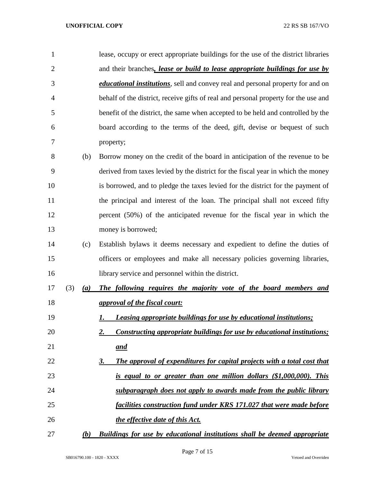| $\mathbf{1}$   |     |     | lease, occupy or erect appropriate buildings for the use of the district libraries      |
|----------------|-----|-----|-----------------------------------------------------------------------------------------|
| $\overline{2}$ |     |     | and their branches, lease or build to lease appropriate buildings for use by            |
| 3              |     |     | <i>educational institutions</i> , sell and convey real and personal property for and on |
| 4              |     |     | behalf of the district, receive gifts of real and personal property for the use and     |
| 5              |     |     | benefit of the district, the same when accepted to be held and controlled by the        |
| 6              |     |     | board according to the terms of the deed, gift, devise or bequest of such               |
| 7              |     |     | property;                                                                               |
| 8              |     | (b) | Borrow money on the credit of the board in anticipation of the revenue to be            |
| 9              |     |     | derived from taxes levied by the district for the fiscal year in which the money        |
| 10             |     |     | is borrowed, and to pledge the taxes levied for the district for the payment of         |
| 11             |     |     | the principal and interest of the loan. The principal shall not exceed fifty            |
| 12             |     |     | percent (50%) of the anticipated revenue for the fiscal year in which the               |
| 13             |     |     | money is borrowed;                                                                      |
| 14             |     | (c) | Establish bylaws it deems necessary and expedient to define the duties of               |
| 15             |     |     | officers or employees and make all necessary policies governing libraries,              |
| 16             |     |     | library service and personnel within the district.                                      |
| 17             | (3) | (a) | The following requires the majority vote of the board members and                       |
| 18             |     |     | <i><u>approval of the fiscal court:</u></i>                                             |
| 19             |     |     | <b>Leasing appropriate buildings for use by educational institutions;</b><br>1.         |
| 20             |     |     | Constructing appropriate buildings for use by educational institutions;<br><u>2.</u>    |
| 21             |     |     | and                                                                                     |
| 22             |     |     | The approval of expenditures for capital projects with a total cost that<br><u>3.</u>   |
| 23             |     |     | is equal to or greater than one million dollars (\$1,000,000). This                     |
| 24             |     |     | subparagraph does not apply to awards made from the public library                      |
| 25             |     |     | facilities construction fund under KRS 171.027 that were made before                    |
| 26             |     |     | the effective date of this Act.                                                         |

*(b) Buildings for use by educational institutions shall be deemed appropriate*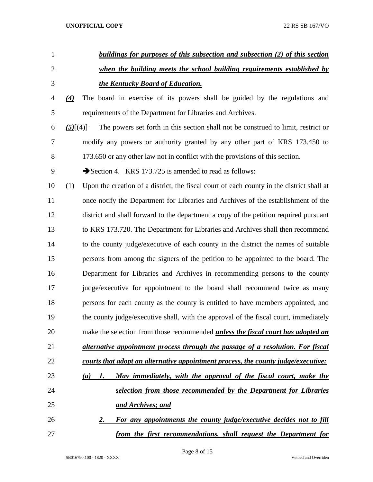| $\mathbf{1}$   | buildings for purposes of this subsection and subsection (2) of this section                     |
|----------------|--------------------------------------------------------------------------------------------------|
| $\overline{2}$ | when the building meets the school building requirements established by                          |
| 3              | the Kentucky Board of Education.                                                                 |
| 4              | The board in exercise of its powers shall be guided by the regulations and<br>$\left( 4\right)$  |
| 5              | requirements of the Department for Libraries and Archives.                                       |
| 6              | The powers set forth in this section shall not be construed to limit, restrict or<br>$(5)$ $(4)$ |
| 7              | modify any powers or authority granted by any other part of KRS 173.450 to                       |
| 8              | 173.650 or any other law not in conflict with the provisions of this section.                    |
| 9              | Section 4. KRS 173.725 is amended to read as follows:                                            |
| 10             | Upon the creation of a district, the fiscal court of each county in the district shall at<br>(1) |
| 11             | once notify the Department for Libraries and Archives of the establishment of the                |
| 12             | district and shall forward to the department a copy of the petition required pursuant            |
| 13             | to KRS 173.720. The Department for Libraries and Archives shall then recommend                   |
| 14             | to the county judge/executive of each county in the district the names of suitable               |
| 15             | persons from among the signers of the petition to be appointed to the board. The                 |
| 16             | Department for Libraries and Archives in recommending persons to the county                      |
| 17             | judge/executive for appointment to the board shall recommend twice as many                       |
| 18             | persons for each county as the county is entitled to have members appointed, and                 |
| 19             | the county judge/executive shall, with the approval of the fiscal court, immediately             |
| 20             | make the selection from those recommended <i>unless the fiscal court has adopted an</i>          |
| 21             | alternative appointment process through the passage of a resolution. For fiscal                  |
| 22             | courts that adopt an alternative appointment process, the county judge/executive:                |
| 23             | May immediately, with the approval of the fiscal court, make the<br>(a)<br>1.                    |
| 24             | selection from those recommended by the Department for Libraries                                 |
| 25             | and Archives; and                                                                                |
| 26             | <b>For any appointments the county judge/executive decides not to fill</b><br><u>2.</u>          |
| 27             | from the first recommendations, shall request the Department for                                 |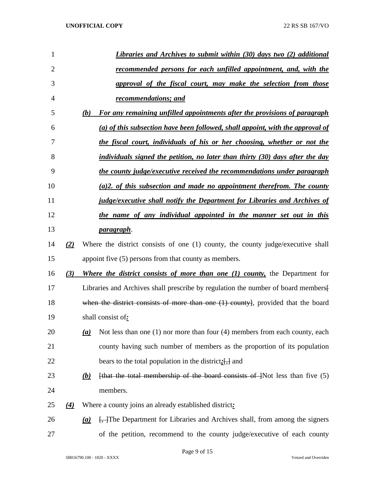| $\mathbf{1}$ |          |                  | Libraries and Archives to submit within (30) days two (2) additional                     |
|--------------|----------|------------------|------------------------------------------------------------------------------------------|
| 2            |          |                  | recommended persons for each unfilled appointment, and, with the                         |
| 3            |          |                  | approval of the fiscal court, may make the selection from those                          |
| 4            |          |                  | <u>recommendations; and</u>                                                              |
| 5            |          | (b)              | For any remaining unfilled appointments after the provisions of paragraph                |
| 6            |          |                  | (a) of this subsection have been followed, shall appoint, with the approval of           |
| 7            |          |                  | the fiscal court, individuals of his or her choosing, whether or not the                 |
| 8            |          |                  | individuals signed the petition, no later than thirty (30) days after the day            |
| 9            |          |                  | the county judge/executive received the recommendations under paragraph                  |
| 10           |          |                  | $(a)$ 2. of this subsection and made no appointment therefrom. The county                |
| 11           |          |                  | <i>judge/executive shall notify the Department for Libraries and Archives of</i>         |
| 12           |          |                  | the name of any individual appointed in the manner set out in this                       |
| 13           |          |                  | <u>paragraph</u> .                                                                       |
| 14           | (2)      |                  | Where the district consists of one (1) county, the county judge/executive shall          |
| 15           |          |                  | appoint five (5) persons from that county as members.                                    |
| 16           | (3)      |                  | Where the district consists of more than one (1) county, the Department for              |
| 17           |          |                  | Libraries and Archives shall prescribe by regulation the number of board members.        |
| 18           |          |                  | when the district consists of more than one (1) county], provided that the board         |
| 19           |          |                  | shall consist of:                                                                        |
| 20           |          | $\underline{a}$  | Not less than one $(1)$ nor more than four $(4)$ members from each county, each          |
| 21           |          |                  | county having such number of members as the proportion of its population                 |
| 22           |          |                  | bears to the total population in the district: $\left[\frac{1}{\sqrt{2}}\right]$ and     |
| 23           |          | <u>(b)</u>       | [that the total membership of the board consists of $\frac{1}{1}$ Not less than five (5) |
| 24           |          |                  | members.                                                                                 |
| 25           | $\Delta$ |                  | Where a county joins an already established district:                                    |
| 26           |          | $\left(a\right)$ | [ <del>, ]</del> The Department for Libraries and Archives shall, from among the signers |
| 27           |          |                  | of the petition, recommend to the county judge/executive of each county                  |

Page 9 of 15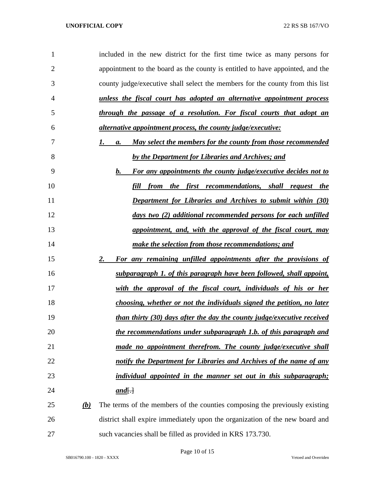| 1              |            | included in the new district for the first time twice as many persons for       |
|----------------|------------|---------------------------------------------------------------------------------|
| $\overline{2}$ |            | appointment to the board as the county is entitled to have appointed, and the   |
| 3              |            | county judge/executive shall select the members for the county from this list   |
| 4              |            | unless the fiscal court has adopted an alternative appointment process          |
| 5              |            | through the passage of a resolution. For fiscal courts that adopt an            |
| 6              |            | <i>alternative appointment process, the county judge/executive:</i>             |
| 7              |            | May select the members for the county from those recommended<br>1.<br><b>a.</b> |
| 8              |            | by the Department for Libraries and Archives; and                               |
| 9              |            | For any appointments the county judge/executive decides not to<br>b.            |
| 10             |            | from the first recommendations, shall request the<br>fill                       |
| 11             |            | <b>Department for Libraries and Archives to submit within (30)</b>              |
| 12             |            | days two (2) additional recommended persons for each unfilled                   |
| 13             |            | appointment, and, with the approval of the fiscal court, may                    |
| 14             |            | make the selection from those recommendations; and                              |
| 15             |            | For any remaining unfilled appointments after the provisions of<br>2.           |
| 16             |            | subparagraph 1. of this paragraph have been followed, shall appoint,            |
| 17             |            | with the approval of the fiscal court, individuals of his or her                |
| 18             |            | choosing, whether or not the individuals signed the petition, no later          |
| 19             |            | than thirty (30) days after the day the county judge/executive received         |
| 20             |            | the recommendations under subparagraph 1.b. of this paragraph and               |
| 21             |            | made no appointment therefrom. The county judge/executive shall                 |
| 22             |            | notify the Department for Libraries and Archives of the name of any             |
| 23             |            | <i>individual appointed in the manner set out in this subparagraph</i> ;        |
| 24             |            | <u>and</u> $\Box$                                                               |
| 25             | <u>(b)</u> | The terms of the members of the counties composing the previously existing      |
| 26             |            | district shall expire immediately upon the organization of the new board and    |
| 27             |            | such vacancies shall be filled as provided in KRS 173.730.                      |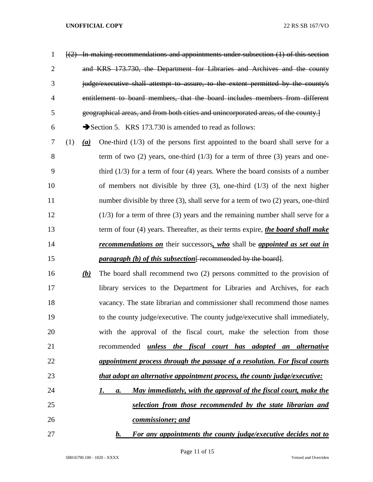| $\mathbf{1}$   |     |            | $\left[\frac{2}{2}\right]$ In making recommendations and appointments under subsection (1) of this section |
|----------------|-----|------------|------------------------------------------------------------------------------------------------------------|
| $\overline{2}$ |     |            | and KRS 173.730, the Department for Libraries and Archives and the county                                  |
| 3              |     |            | judge/executive shall attempt to assure, to the extent permitted by the county's                           |
| $\overline{4}$ |     |            | entitlement to board members, that the board includes members from different                               |
| 5              |     |            | geographical areas, and from both cities and unincorporated areas, of the county.]                         |
| 6              |     |            | Section 5. KRS 173.730 is amended to read as follows:                                                      |
| 7              | (1) | (a)        | One-third $(1/3)$ of the persons first appointed to the board shall serve for a                            |
| 8              |     |            | term of two $(2)$ years, one-third $(1/3)$ for a term of three $(3)$ years and one-                        |
| 9              |     |            | third $(1/3)$ for a term of four $(4)$ years. Where the board consists of a number                         |
| 10             |     |            | of members not divisible by three $(3)$ , one-third $(1/3)$ of the next higher                             |
| 11             |     |            | number divisible by three $(3)$ , shall serve for a term of two $(2)$ years, one-third                     |
| 12             |     |            | $(1/3)$ for a term of three (3) years and the remaining number shall serve for a                           |
| 13             |     |            | term of four (4) years. Thereafter, as their terms expire, the board shall make                            |
| 14             |     |            | <b>recommendations on</b> their successors, who shall be appointed as set out in                           |
| 15             |     |            | <i>paragraph</i> (b) of this subsection $\frac{1}{1}$ recommended by the board.                            |
| 16             |     | <u>(b)</u> | The board shall recommend two (2) persons committed to the provision of                                    |
| 17             |     |            | library services to the Department for Libraries and Archives, for each                                    |
| 18             |     |            | vacancy. The state librarian and commissioner shall recommend those names                                  |
| 19             |     |            | to the county judge/executive. The county judge/executive shall immediately,                               |
| 20             |     |            | with the approval of the fiscal court, make the selection from those                                       |
| 21             |     |            | recommended unless the fiscal court has adopted an alternative                                             |
| 22             |     |            | appointment process through the passage of a resolution. For fiscal courts                                 |
| 23             |     |            | <i>that adopt an alternative appointment process, the county judge/executive:</i>                          |
| 24             |     |            | May immediately, with the approval of the fiscal court, make the<br>1.<br><b>a.</b>                        |
| 25             |     |            | selection from those recommended by the state librarian and                                                |
| 26             |     |            | commissioner; and                                                                                          |
| 27             |     |            | For any appointments the county judge/executive decides not to<br>$\mathbf{b}$ .                           |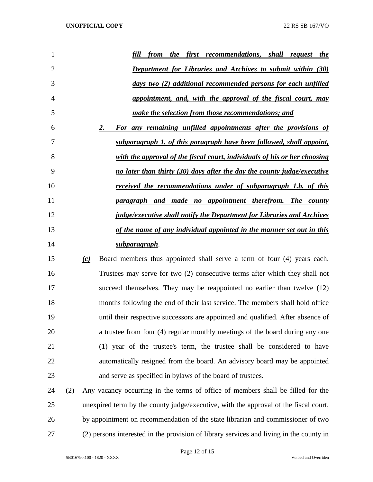| 1              | first recommendations, shall request the<br>fill<br><i>the</i><br>from         |
|----------------|--------------------------------------------------------------------------------|
| $\overline{2}$ | <b>Department for Libraries and Archives to submit within (30)</b>             |
| 3              | days two (2) additional recommended persons for each unfilled                  |
| 4              | appointment, and, with the approval of the fiscal court, may                   |
| 5              | make the selection from those recommendations; and                             |
| 6              | 2.<br>For any remaining unfilled appointments after the provisions of          |
| 7              | subparagraph 1. of this paragraph have been followed, shall appoint,           |
| 8              | with the approval of the fiscal court, individuals of his or her choosing      |
| 9              | no later than thirty (30) days after the day the county judge/executive        |
| 10             | <u>received the recommendations under of subparagraph 1.b. of this</u>         |
| 11             | paragraph and made no appointment therefrom. The county                        |
| 12             | <i>judge/executive shall notify the Department for Libraries and Archives</i>  |
| 13             | of the name of any individual appointed in the manner set out in this          |
| 14             | subparagraph.                                                                  |
| 15             | Board members thus appointed shall serve a term of four (4) years each.<br>(c) |
|                | <b>Contract Contract Contract Contract</b>                                     |

 Trustees may serve for two (2) consecutive terms after which they shall not succeed themselves. They may be reappointed no earlier than twelve (12) months following the end of their last service. The members shall hold office until their respective successors are appointed and qualified. After absence of a trustee from four (4) regular monthly meetings of the board during any one (1) year of the trustee's term, the trustee shall be considered to have automatically resigned from the board. An advisory board may be appointed and serve as specified in bylaws of the board of trustees.

 (2) Any vacancy occurring in the terms of office of members shall be filled for the unexpired term by the county judge/executive, with the approval of the fiscal court, by appointment on recommendation of the state librarian and commissioner of two (2) persons interested in the provision of library services and living in the county in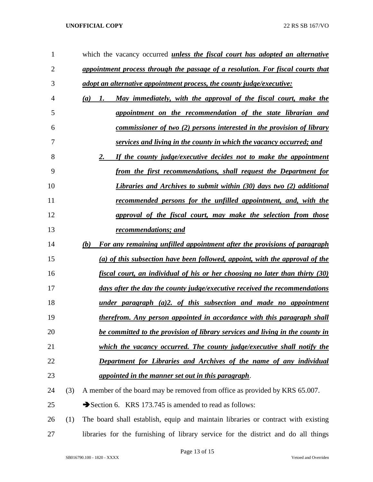| 1              |     | which the vacancy occurred <i>unless the fiscal court has adopted an alternative</i>      |
|----------------|-----|-------------------------------------------------------------------------------------------|
| $\overline{2}$ |     | appointment process through the passage of a resolution. For fiscal courts that           |
| 3              |     | adopt an alternative appointment process, the county judge/executive:                     |
| $\overline{4}$ |     | May immediately, with the approval of the fiscal court, make the<br>(a)<br>$\mathbf{I}$ . |
| 5              |     | appointment on the recommendation of the state librarian and                              |
| 6              |     | commissioner of two (2) persons interested in the provision of library                    |
| 7              |     | services and living in the county in which the vacancy occurred; and                      |
| 8              |     | 2.<br>If the county judge/executive decides not to make the appointment                   |
| 9              |     | from the first recommendations, shall request the Department for                          |
| 10             |     | Libraries and Archives to submit within (30) days two (2) additional                      |
| 11             |     | recommended persons for the unfilled appointment, and, with the                           |
| 12             |     | approval of the fiscal court, may make the selection from those                           |
| 13             |     | recommendations; and                                                                      |
| 14             |     | For any remaining unfilled appointment after the provisions of paragraph<br>(b)           |
| 15             |     | (a) of this subsection have been followed, appoint, with the approval of the              |
| 16             |     | fiscal court, an individual of his or her choosing no later than thirty (30)              |
| 17             |     | days after the day the county judge/executive received the recommendations                |
| 18             |     | $under$ paragraph $(a)2$ , of this subsection and made no appointment                     |
| 19             |     | therefrom. Any person appointed in accordance with this paragraph shall                   |
| 20             |     | be committed to the provision of library services and living in the county in             |
| 21             |     | which the vacancy occurred. The county judge/executive shall notify the                   |
| 22             |     | <b>Department for Libraries and Archives of the name of any individual</b>                |
| 23             |     | appointed in the manner set out in this paragraph.                                        |
| 24             | (3) | A member of the board may be removed from office as provided by KRS 65.007.               |
| 25             |     | Section 6. KRS 173.745 is amended to read as follows:                                     |
| 26             | (1) | The board shall establish, equip and maintain libraries or contract with existing         |
| 27             |     | libraries for the furnishing of library service for the district and do all things        |

Page 13 of 15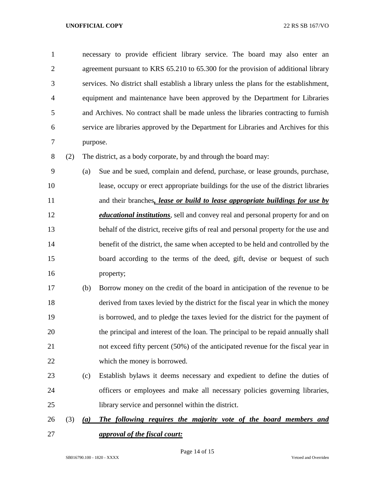necessary to provide efficient library service. The board may also enter an agreement pursuant to KRS 65.210 to 65.300 for the provision of additional library services. No district shall establish a library unless the plans for the establishment, equipment and maintenance have been approved by the Department for Libraries and Archives. No contract shall be made unless the libraries contracting to furnish service are libraries approved by the Department for Libraries and Archives for this purpose.

(2) The district, as a body corporate, by and through the board may:

 (a) Sue and be sued, complain and defend, purchase, or lease grounds, purchase, lease, occupy or erect appropriate buildings for the use of the district libraries and their branches*, lease or build to lease appropriate buildings for use by educational institutions*, sell and convey real and personal property for and on behalf of the district, receive gifts of real and personal property for the use and 14 benefit of the district, the same when accepted to be held and controlled by the board according to the terms of the deed, gift, devise or bequest of such property;

 (b) Borrow money on the credit of the board in anticipation of the revenue to be derived from taxes levied by the district for the fiscal year in which the money is borrowed, and to pledge the taxes levied for the district for the payment of the principal and interest of the loan. The principal to be repaid annually shall not exceed fifty percent (50%) of the anticipated revenue for the fiscal year in which the money is borrowed.

- (c) Establish bylaws it deems necessary and expedient to define the duties of officers or employees and make all necessary policies governing libraries, library service and personnel within the district.
- (3) *(a) The following requires the majority vote of the board members and approval of the fiscal court:*